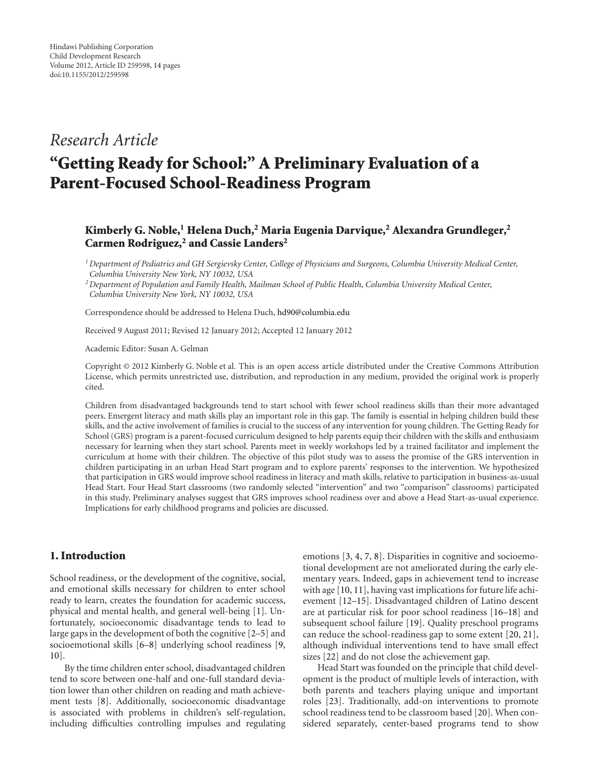## *Research Article*

# **"Getting Ready for School:" A Preliminary Evaluation of a Parent-Focused School-Readiness Program**

## Kimberly G. Noble,<sup>1</sup> Helena Duch,<sup>2</sup> Maria Eugenia Darvique,<sup>2</sup> Alexandra Grundleger,<sup>2</sup> **Carmen Rodriguez,2 and Cassie Landers2**

*1Department of Pediatrics and GH Sergievsky Center, College of Physicians and Surgeons, Columbia University Medical Center, Columbia University New York, NY 10032, USA*

*2Department of Population and Family Health, Mailman School of Public Health, Columbia University Medical Center, Columbia University New York, NY 10032, USA*

Correspondence should be addressed to Helena Duch, hd90@columbia.edu

Received 9 August 2011; Revised 12 January 2012; Accepted 12 January 2012

Academic Editor: Susan A. Gelman

Copyright © 2012 Kimberly G. Noble et al. This is an open access article distributed under the Creative Commons Attribution License, which permits unrestricted use, distribution, and reproduction in any medium, provided the original work is properly cited.

Children from disadvantaged backgrounds tend to start school with fewer school readiness skills than their more advantaged peers. Emergent literacy and math skills play an important role in this gap. The family is essential in helping children build these skills, and the active involvement of families is crucial to the success of any intervention for young children. The Getting Ready for School (GRS) program is a parent-focused curriculum designed to help parents equip their children with the skills and enthusiasm necessary for learning when they start school. Parents meet in weekly workshops led by a trained facilitator and implement the curriculum at home with their children. The objective of this pilot study was to assess the promise of the GRS intervention in children participating in an urban Head Start program and to explore parents' responses to the intervention. We hypothesized that participation in GRS would improve school readiness in literacy and math skills, relative to participation in business-as-usual Head Start. Four Head Start classrooms (two randomly selected "intervention" and two "comparison" classrooms) participated in this study. Preliminary analyses suggest that GRS improves school readiness over and above a Head Start-as-usual experience. Implications for early childhood programs and policies are discussed.

#### **1. Introduction**

School readiness, or the development of the cognitive, social, and emotional skills necessary for children to enter school ready to learn, creates the foundation for academic success, physical and mental health, and general well-being [1]. Unfortunately, socioeconomic disadvantage tends to lead to large gaps in the development of both the cognitive [2–5] and socioemotional skills [6–8] underlying school readiness [9, 10].

By the time children enter school, disadvantaged children tend to score between one-half and one-full standard deviation lower than other children on reading and math achievement tests [8]. Additionally, socioeconomic disadvantage is associated with problems in children's self-regulation, including difficulties controlling impulses and regulating emotions [3, 4, 7, 8]. Disparities in cognitive and socioemotional development are not ameliorated during the early elementary years. Indeed, gaps in achievement tend to increase with age [10, 11], having vast implications for future life achievement [12–15]. Disadvantaged children of Latino descent are at particular risk for poor school readiness [16–18] and subsequent school failure [19]. Quality preschool programs can reduce the school-readiness gap to some extent [20, 21], although individual interventions tend to have small effect sizes [22] and do not close the achievement gap.

Head Start was founded on the principle that child development is the product of multiple levels of interaction, with both parents and teachers playing unique and important roles [23]. Traditionally, add-on interventions to promote school readiness tend to be classroom based [20]. When considered separately, center-based programs tend to show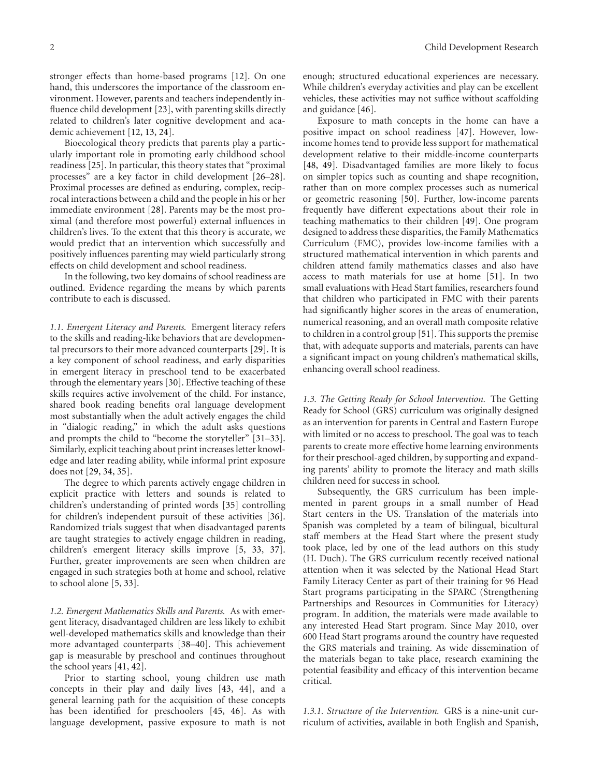stronger effects than home-based programs [12]. On one hand, this underscores the importance of the classroom environment. However, parents and teachers independently influence child development [23], with parenting skills directly related to children's later cognitive development and academic achievement [12, 13, 24].

Bioecological theory predicts that parents play a particularly important role in promoting early childhood school readiness [25]. In particular, this theory states that "proximal processes" are a key factor in child development [26–28]. Proximal processes are defined as enduring, complex, reciprocal interactions between a child and the people in his or her immediate environment [28]. Parents may be the most proximal (and therefore most powerful) external influences in children's lives. To the extent that this theory is accurate, we would predict that an intervention which successfully and positively influences parenting may wield particularly strong effects on child development and school readiness.

In the following, two key domains of school readiness are outlined. Evidence regarding the means by which parents contribute to each is discussed.

*1.1. Emergent Literacy and Parents.* Emergent literacy refers to the skills and reading-like behaviors that are developmental precursors to their more advanced counterparts [29]. It is a key component of school readiness, and early disparities in emergent literacy in preschool tend to be exacerbated through the elementary years [30]. Effective teaching of these skills requires active involvement of the child. For instance, shared book reading benefits oral language development most substantially when the adult actively engages the child in "dialogic reading," in which the adult asks questions and prompts the child to "become the storyteller" [31–33]. Similarly, explicit teaching about print increases letter knowledge and later reading ability, while informal print exposure does not [29, 34, 35].

The degree to which parents actively engage children in explicit practice with letters and sounds is related to children's understanding of printed words [35] controlling for children's independent pursuit of these activities [36]. Randomized trials suggest that when disadvantaged parents are taught strategies to actively engage children in reading, children's emergent literacy skills improve [5, 33, 37]. Further, greater improvements are seen when children are engaged in such strategies both at home and school, relative to school alone [5, 33].

*1.2. Emergent Mathematics Skills and Parents.* As with emergent literacy, disadvantaged children are less likely to exhibit well-developed mathematics skills and knowledge than their more advantaged counterparts [38–40]. This achievement gap is measurable by preschool and continues throughout the school years [41, 42].

Prior to starting school, young children use math concepts in their play and daily lives [43, 44], and a general learning path for the acquisition of these concepts has been identified for preschoolers [45, 46]. As with language development, passive exposure to math is not enough; structured educational experiences are necessary. While children's everyday activities and play can be excellent vehicles, these activities may not suffice without scaffolding and guidance [46].

Exposure to math concepts in the home can have a positive impact on school readiness [47]. However, lowincome homes tend to provide less support for mathematical development relative to their middle-income counterparts [48, 49]. Disadvantaged families are more likely to focus on simpler topics such as counting and shape recognition, rather than on more complex processes such as numerical or geometric reasoning [50]. Further, low-income parents frequently have different expectations about their role in teaching mathematics to their children [49]. One program designed to address these disparities, the Family Mathematics Curriculum (FMC), provides low-income families with a structured mathematical intervention in which parents and children attend family mathematics classes and also have access to math materials for use at home [51]. In two small evaluations with Head Start families, researchers found that children who participated in FMC with their parents had significantly higher scores in the areas of enumeration, numerical reasoning, and an overall math composite relative to children in a control group [51]. This supports the premise that, with adequate supports and materials, parents can have a significant impact on young children's mathematical skills, enhancing overall school readiness.

*1.3. The Getting Ready for School Intervention.* The Getting Ready for School (GRS) curriculum was originally designed as an intervention for parents in Central and Eastern Europe with limited or no access to preschool. The goal was to teach parents to create more effective home learning environments for their preschool-aged children, by supporting and expanding parents' ability to promote the literacy and math skills children need for success in school.

Subsequently, the GRS curriculum has been implemented in parent groups in a small number of Head Start centers in the US. Translation of the materials into Spanish was completed by a team of bilingual, bicultural staff members at the Head Start where the present study took place, led by one of the lead authors on this study (H. Duch). The GRS curriculum recently received national attention when it was selected by the National Head Start Family Literacy Center as part of their training for 96 Head Start programs participating in the SPARC (Strengthening Partnerships and Resources in Communities for Literacy) program. In addition, the materials were made available to any interested Head Start program. Since May 2010, over 600 Head Start programs around the country have requested the GRS materials and training. As wide dissemination of the materials began to take place, research examining the potential feasibility and efficacy of this intervention became critical.

*1.3.1. Structure of the Intervention.* GRS is a nine-unit curriculum of activities, available in both English and Spanish,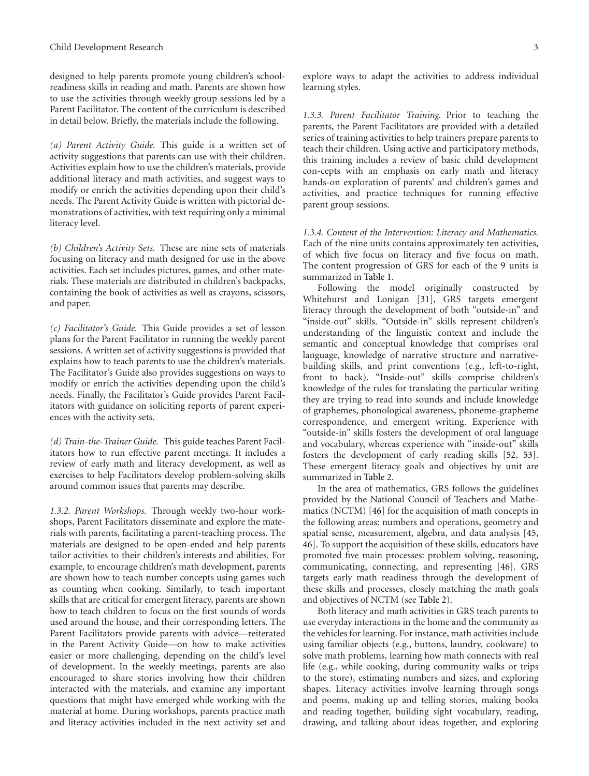designed to help parents promote young children's schoolreadiness skills in reading and math. Parents are shown how to use the activities through weekly group sessions led by a Parent Facilitator. The content of the curriculum is described in detail below. Briefly, the materials include the following.

*(a) Parent Activity Guide.* This guide is a written set of activity suggestions that parents can use with their children. Activities explain how to use the children's materials, provide additional literacy and math activities, and suggest ways to modify or enrich the activities depending upon their child's needs. The Parent Activity Guide is written with pictorial demonstrations of activities, with text requiring only a minimal literacy level.

*(b) Children's Activity Sets.* These are nine sets of materials focusing on literacy and math designed for use in the above activities. Each set includes pictures, games, and other materials. These materials are distributed in children's backpacks, containing the book of activities as well as crayons, scissors, and paper.

*(c) Facilitator's Guide.* This Guide provides a set of lesson plans for the Parent Facilitator in running the weekly parent sessions. A written set of activity suggestions is provided that explains how to teach parents to use the children's materials. The Facilitator's Guide also provides suggestions on ways to modify or enrich the activities depending upon the child's needs. Finally, the Facilitator's Guide provides Parent Facilitators with guidance on soliciting reports of parent experiences with the activity sets.

*(d) Train-the-Trainer Guide.* This guide teaches Parent Facilitators how to run effective parent meetings. It includes a review of early math and literacy development, as well as exercises to help Facilitators develop problem-solving skills around common issues that parents may describe.

*1.3.2. Parent Workshops.* Through weekly two-hour workshops, Parent Facilitators disseminate and explore the materials with parents, facilitating a parent-teaching process. The materials are designed to be open-ended and help parents tailor activities to their children's interests and abilities. For example, to encourage children's math development, parents are shown how to teach number concepts using games such as counting when cooking. Similarly, to teach important skills that are critical for emergent literacy, parents are shown how to teach children to focus on the first sounds of words used around the house, and their corresponding letters. The Parent Facilitators provide parents with advice—reiterated in the Parent Activity Guide—on how to make activities easier or more challenging, depending on the child's level of development. In the weekly meetings, parents are also encouraged to share stories involving how their children interacted with the materials, and examine any important questions that might have emerged while working with the material at home. During workshops, parents practice math and literacy activities included in the next activity set and

explore ways to adapt the activities to address individual learning styles.

*1.3.3. Parent Facilitator Training.* Prior to teaching the parents, the Parent Facilitators are provided with a detailed series of training activities to help trainers prepare parents to teach their children. Using active and participatory methods, this training includes a review of basic child development con-cepts with an emphasis on early math and literacy hands-on exploration of parents' and children's games and activities, and practice techniques for running effective parent group sessions.

*1.3.4. Content of the Intervention: Literacy and Mathematics.* Each of the nine units contains approximately ten activities, of which five focus on literacy and five focus on math. The content progression of GRS for each of the 9 units is summarized in Table 1.

Following the model originally constructed by Whitehurst and Lonigan [31], GRS targets emergent literacy through the development of both "outside-in" and "inside-out" skills. "Outside-in" skills represent children's understanding of the linguistic context and include the semantic and conceptual knowledge that comprises oral language, knowledge of narrative structure and narrativebuilding skills, and print conventions (e.g., left-to-right, front to back). "Inside-out" skills comprise children's knowledge of the rules for translating the particular writing they are trying to read into sounds and include knowledge of graphemes, phonological awareness, phoneme-grapheme correspondence, and emergent writing. Experience with "outside-in" skills fosters the development of oral language and vocabulary, whereas experience with "inside-out" skills fosters the development of early reading skills [52, 53]. These emergent literacy goals and objectives by unit are summarized in Table 2.

In the area of mathematics, GRS follows the guidelines provided by the National Council of Teachers and Mathematics (NCTM) [46] for the acquisition of math concepts in the following areas: numbers and operations, geometry and spatial sense, measurement, algebra, and data analysis [45, 46]. To support the acquisition of these skills, educators have promoted five main processes: problem solving, reasoning, communicating, connecting, and representing [46]. GRS targets early math readiness through the development of these skills and processes, closely matching the math goals and objectives of NCTM (see Table 2).

Both literacy and math activities in GRS teach parents to use everyday interactions in the home and the community as the vehicles for learning. For instance, math activities include using familiar objects (e.g., buttons, laundry, cookware) to solve math problems, learning how math connects with real life (e.g., while cooking, during community walks or trips to the store), estimating numbers and sizes, and exploring shapes. Literacy activities involve learning through songs and poems, making up and telling stories, making books and reading together, building sight vocabulary, reading, drawing, and talking about ideas together, and exploring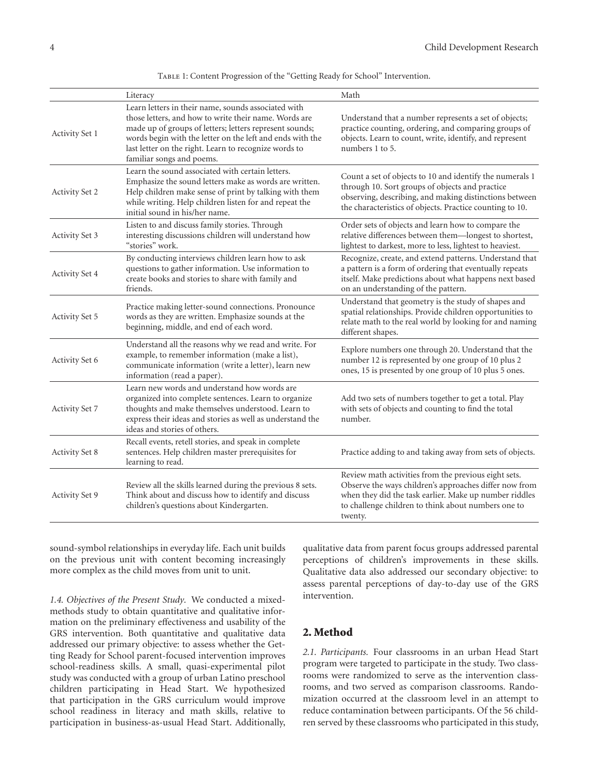|                       | Literacy                                                                                                                                                                                                                                                                                                                   | Math                                                                                                                                                                                                                                       |
|-----------------------|----------------------------------------------------------------------------------------------------------------------------------------------------------------------------------------------------------------------------------------------------------------------------------------------------------------------------|--------------------------------------------------------------------------------------------------------------------------------------------------------------------------------------------------------------------------------------------|
| <b>Activity Set 1</b> | Learn letters in their name, sounds associated with<br>those letters, and how to write their name. Words are<br>made up of groups of letters; letters represent sounds;<br>words begin with the letter on the left and ends with the<br>last letter on the right. Learn to recognize words to<br>familiar songs and poems. | Understand that a number represents a set of objects;<br>practice counting, ordering, and comparing groups of<br>objects. Learn to count, write, identify, and represent<br>numbers 1 to 5.                                                |
| <b>Activity Set 2</b> | Learn the sound associated with certain letters.<br>Emphasize the sound letters make as words are written.<br>Help children make sense of print by talking with them<br>while writing. Help children listen for and repeat the<br>initial sound in his/her name.                                                           | Count a set of objects to 10 and identify the numerals 1<br>through 10. Sort groups of objects and practice<br>observing, describing, and making distinctions between<br>the characteristics of objects. Practice counting to 10.          |
| Activity Set 3        | Listen to and discuss family stories. Through<br>interesting discussions children will understand how<br>"stories" work.                                                                                                                                                                                                   | Order sets of objects and learn how to compare the<br>relative differences between them-longest to shortest,<br>lightest to darkest, more to less, lightest to heaviest.                                                                   |
| <b>Activity Set 4</b> | By conducting interviews children learn how to ask<br>questions to gather information. Use information to<br>create books and stories to share with family and<br>friends.                                                                                                                                                 | Recognize, create, and extend patterns. Understand that<br>a pattern is a form of ordering that eventually repeats<br>itself. Make predictions about what happens next based<br>on an understanding of the pattern.                        |
| <b>Activity Set 5</b> | Practice making letter-sound connections. Pronounce<br>words as they are written. Emphasize sounds at the<br>beginning, middle, and end of each word.                                                                                                                                                                      | Understand that geometry is the study of shapes and<br>spatial relationships. Provide children opportunities to<br>relate math to the real world by looking for and naming<br>different shapes.                                            |
| Activity Set 6        | Understand all the reasons why we read and write. For<br>example, to remember information (make a list),<br>communicate information (write a letter), learn new<br>information (read a paper).                                                                                                                             | Explore numbers one through 20. Understand that the<br>number 12 is represented by one group of 10 plus 2<br>ones, 15 is presented by one group of 10 plus 5 ones.                                                                         |
| <b>Activity Set 7</b> | Learn new words and understand how words are<br>organized into complete sentences. Learn to organize<br>thoughts and make themselves understood. Learn to<br>express their ideas and stories as well as understand the<br>ideas and stories of others.                                                                     | Add two sets of numbers together to get a total. Play<br>with sets of objects and counting to find the total<br>number.                                                                                                                    |
| <b>Activity Set 8</b> | Recall events, retell stories, and speak in complete<br>sentences. Help children master prerequisites for<br>learning to read.                                                                                                                                                                                             | Practice adding to and taking away from sets of objects.                                                                                                                                                                                   |
| <b>Activity Set 9</b> | Review all the skills learned during the previous 8 sets.<br>Think about and discuss how to identify and discuss<br>children's questions about Kindergarten.                                                                                                                                                               | Review math activities from the previous eight sets.<br>Observe the ways children's approaches differ now from<br>when they did the task earlier. Make up number riddles<br>to challenge children to think about numbers one to<br>twenty. |

Table 1: Content Progression of the "Getting Ready for School" Intervention.

sound-symbol relationships in everyday life. Each unit builds on the previous unit with content becoming increasingly more complex as the child moves from unit to unit.

*1.4. Objectives of the Present Study.* We conducted a mixedmethods study to obtain quantitative and qualitative information on the preliminary effectiveness and usability of the GRS intervention. Both quantitative and qualitative data addressed our primary objective: to assess whether the Getting Ready for School parent-focused intervention improves school-readiness skills. A small, quasi-experimental pilot study was conducted with a group of urban Latino preschool children participating in Head Start. We hypothesized that participation in the GRS curriculum would improve school readiness in literacy and math skills, relative to participation in business-as-usual Head Start. Additionally,

qualitative data from parent focus groups addressed parental perceptions of children's improvements in these skills. Qualitative data also addressed our secondary objective: to assess parental perceptions of day-to-day use of the GRS intervention.

## **2. Method**

*2.1. Participants.* Four classrooms in an urban Head Start program were targeted to participate in the study. Two classrooms were randomized to serve as the intervention classrooms, and two served as comparison classrooms. Randomization occurred at the classroom level in an attempt to reduce contamination between participants. Of the 56 children served by these classrooms who participated in this study,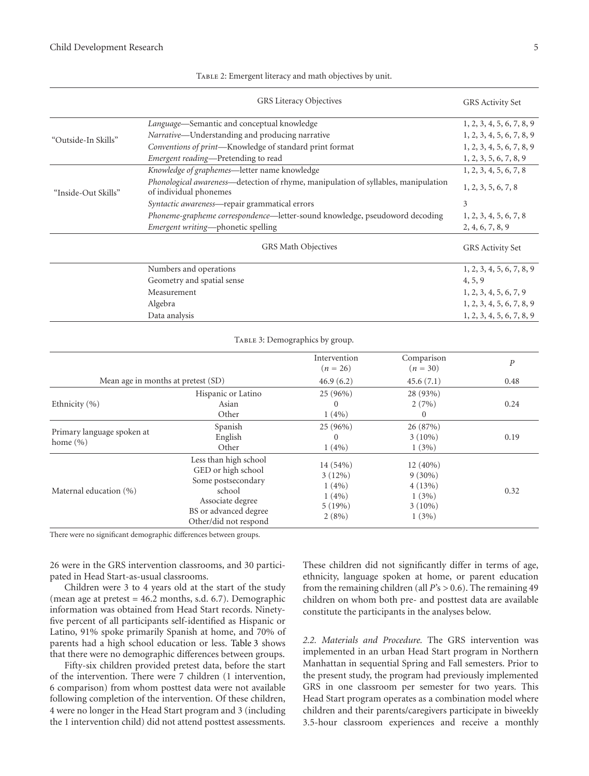|                                    | GRS Literacy Objectives                                                                                      | <b>GRS Activity Set</b>   |
|------------------------------------|--------------------------------------------------------------------------------------------------------------|---------------------------|
|                                    | Language-Semantic and conceptual knowledge                                                                   | 1, 2, 3, 4, 5, 6, 7, 8, 9 |
| "Outside-In Skills"                | Narrative-Understanding and producing narrative                                                              | 1, 2, 3, 4, 5, 6, 7, 8, 9 |
|                                    | Conventions of print-Knowledge of standard print format                                                      | 1, 2, 3, 4, 5, 6, 7, 8, 9 |
|                                    | Emergent reading-Pretending to read                                                                          | 1, 2, 3, 5, 6, 7, 8, 9    |
|                                    | Knowledge of graphemes-letter name knowledge                                                                 | 1, 2, 3, 4, 5, 6, 7, 8    |
| "Inside-Out Skills"                | Phonological awareness-detection of rhyme, manipulation of syllables, manipulation<br>of individual phonemes | 1, 2, 3, 5, 6, 7, 8       |
|                                    | Syntactic awareness-repair grammatical errors                                                                | 3                         |
|                                    | Phoneme-grapheme correspondence-letter-sound knowledge, pseudoword decoding                                  | 1, 2, 3, 4, 5, 6, 7, 8    |
| Emergent writing-phonetic spelling |                                                                                                              | 2, 4, 6, 7, 8, 9          |
|                                    | GRS Math Objectives                                                                                          | <b>GRS Activity Set</b>   |
|                                    | Numbers and operations                                                                                       | 1, 2, 3, 4, 5, 6, 7, 8, 9 |
|                                    | Geometry and spatial sense                                                                                   | 4, 5, 9                   |
|                                    | Measurement                                                                                                  | 1, 2, 3, 4, 5, 6, 7, 9    |
|                                    | Algebra                                                                                                      | 1, 2, 3, 4, 5, 6, 7, 8, 9 |
|                                    | Data analysis                                                                                                | 1, 2, 3, 4, 5, 6, 7, 8, 9 |
|                                    | TABLE 3: Demographics by group.                                                                              |                           |

#### TABLE 2: Emergent literacy and math objectives by unit.

|                                            |                                                                                                                                                   | Intervention<br>$(n = 26)$                                          | Comparison<br>$(n = 30)$                                         | $\boldsymbol{P}$ |
|--------------------------------------------|---------------------------------------------------------------------------------------------------------------------------------------------------|---------------------------------------------------------------------|------------------------------------------------------------------|------------------|
| Mean age in months at pretest (SD)         |                                                                                                                                                   | 46.9(6.2)                                                           | 45.6(7.1)                                                        | 0.48             |
| Ethnicity $(\% )$                          | Hispanic or Latino<br>Asian<br>Other                                                                                                              | 25 (96%)<br>$\Omega$<br>$1(4\%)$                                    | 28 (93%)<br>2(7%)<br>$\overline{0}$                              | 0.24             |
| Primary language spoken at<br>home $(\% )$ | Spanish<br>English<br>Other                                                                                                                       | 25 (96%)<br>$\left($<br>$1(4\%)$                                    | 26 (87%)<br>$3(10\%)$<br>1(3%)                                   | 0.19             |
| Maternal education (%)                     | Less than high school<br>GED or high school<br>Some postsecondary<br>school<br>Associate degree<br>BS or advanced degree<br>Other/did not respond | 14 (54%)<br>$3(12\%)$<br>$1(4\%)$<br>$1(4\%)$<br>5(19%)<br>$2(8\%)$ | $12(40\%)$<br>$9(30\%)$<br>4(13%)<br>1(3%)<br>$3(10\%)$<br>1(3%) | 0.32             |

There were no significant demographic differences between groups.

26 were in the GRS intervention classrooms, and 30 participated in Head Start-as-usual classrooms.

Children were 3 to 4 years old at the start of the study (mean age at pretest = 46.2 months, s.d. 6.7). Demographic information was obtained from Head Start records. Ninetyfive percent of all participants self-identified as Hispanic or Latino, 91% spoke primarily Spanish at home, and 70% of parents had a high school education or less. Table 3 shows that there were no demographic differences between groups.

Fifty-six children provided pretest data, before the start of the intervention. There were 7 children (1 intervention, 6 comparison) from whom posttest data were not available following completion of the intervention. Of these children, 4 were no longer in the Head Start program and 3 (including the 1 intervention child) did not attend posttest assessments.

These children did not significantly differ in terms of age, ethnicity, language spoken at home, or parent education from the remaining children (all *P*'s *>* 0.6). The remaining 49 children on whom both pre- and posttest data are available constitute the participants in the analyses below.

*2.2. Materials and Procedure.* The GRS intervention was implemented in an urban Head Start program in Northern Manhattan in sequential Spring and Fall semesters. Prior to the present study, the program had previously implemented GRS in one classroom per semester for two years. This Head Start program operates as a combination model where children and their parents/caregivers participate in biweekly 3.5-hour classroom experiences and receive a monthly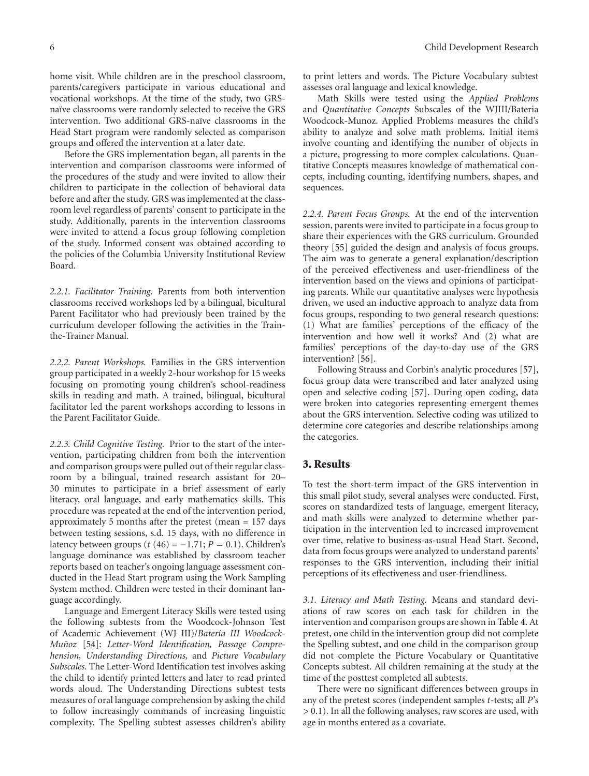home visit. While children are in the preschool classroom, parents/caregivers participate in various educational and vocational workshops. At the time of the study, two GRSnaïve classrooms were randomly selected to receive the GRS intervention. Two additional GRS-naïve classrooms in the Head Start program were randomly selected as comparison groups and offered the intervention at a later date.

Before the GRS implementation began, all parents in the intervention and comparison classrooms were informed of the procedures of the study and were invited to allow their children to participate in the collection of behavioral data before and after the study. GRS was implemented at the classroom level regardless of parents' consent to participate in the study. Additionally, parents in the intervention classrooms were invited to attend a focus group following completion of the study. Informed consent was obtained according to the policies of the Columbia University Institutional Review Board.

*2.2.1. Facilitator Training.* Parents from both intervention classrooms received workshops led by a bilingual, bicultural Parent Facilitator who had previously been trained by the curriculum developer following the activities in the Trainthe-Trainer Manual.

*2.2.2. Parent Workshops.* Families in the GRS intervention group participated in a weekly 2-hour workshop for 15 weeks focusing on promoting young children's school-readiness skills in reading and math. A trained, bilingual, bicultural facilitator led the parent workshops according to lessons in the Parent Facilitator Guide.

*2.2.3. Child Cognitive Testing.* Prior to the start of the intervention, participating children from both the intervention and comparison groups were pulled out of their regular classroom by a bilingual, trained research assistant for 20– 30 minutes to participate in a brief assessment of early literacy, oral language, and early mathematics skills. This procedure was repeated at the end of the intervention period, approximately 5 months after the pretest (mean = 157 days between testing sessions, s.d. 15 days, with no difference in latency between groups (*<sup>t</sup>* (46) <sup>=</sup> <sup>−</sup>1.71; *<sup>P</sup>* <sup>=</sup> <sup>0</sup>*.*1). Children's language dominance was established by classroom teacher reports based on teacher's ongoing language assessment conducted in the Head Start program using the Work Sampling System method. Children were tested in their dominant language accordingly.

Language and Emergent Literacy Skills were tested using the following subtests from the Woodcock-Johnson Test of Academic Achievement (WJ III)/*Bateria III Woodcock-*Muñoz [54]: Letter-Word Identification, Passage Compre*hension, Understanding Directions,* and *Picture Vocabulary Subscales.* The Letter-Word Identification test involves asking the child to identify printed letters and later to read printed words aloud. The Understanding Directions subtest tests measures of oral language comprehension by asking the child to follow increasingly commands of increasing linguistic complexity. The Spelling subtest assesses children's ability

to print letters and words. The Picture Vocabulary subtest assesses oral language and lexical knowledge.

Math Skills were tested using the *Applied Problems* and *Quantitative Concepts* Subscales of the WJIII/Bateria Woodcock-Munoz. Applied Problems measures the child's ability to analyze and solve math problems. Initial items involve counting and identifying the number of objects in a picture, progressing to more complex calculations. Quantitative Concepts measures knowledge of mathematical concepts, including counting, identifying numbers, shapes, and sequences.

*2.2.4. Parent Focus Groups.* At the end of the intervention session, parents were invited to participate in a focus group to share their experiences with the GRS curriculum. Grounded theory [55] guided the design and analysis of focus groups. The aim was to generate a general explanation/description of the perceived effectiveness and user-friendliness of the intervention based on the views and opinions of participating parents. While our quantitative analyses were hypothesis driven, we used an inductive approach to analyze data from focus groups, responding to two general research questions: (1) What are families' perceptions of the efficacy of the intervention and how well it works? And (2) what are families' perceptions of the day-to-day use of the GRS intervention? [56].

Following Strauss and Corbin's analytic procedures [57], focus group data were transcribed and later analyzed using open and selective coding [57]. During open coding, data were broken into categories representing emergent themes about the GRS intervention. Selective coding was utilized to determine core categories and describe relationships among the categories.

#### **3. Results**

To test the short-term impact of the GRS intervention in this small pilot study, several analyses were conducted. First, scores on standardized tests of language, emergent literacy, and math skills were analyzed to determine whether participation in the intervention led to increased improvement over time, relative to business-as-usual Head Start. Second, data from focus groups were analyzed to understand parents' responses to the GRS intervention, including their initial perceptions of its effectiveness and user-friendliness.

*3.1. Literacy and Math Testing.* Means and standard deviations of raw scores on each task for children in the intervention and comparison groups are shown in Table 4. At pretest, one child in the intervention group did not complete the Spelling subtest, and one child in the comparison group did not complete the Picture Vocabulary or Quantitative Concepts subtest. All children remaining at the study at the time of the posttest completed all subtests.

There were no significant differences between groups in any of the pretest scores (independent samples *t*-tests; all *P*'s *>* 0.1). In all the following analyses, raw scores are used, with age in months entered as a covariate.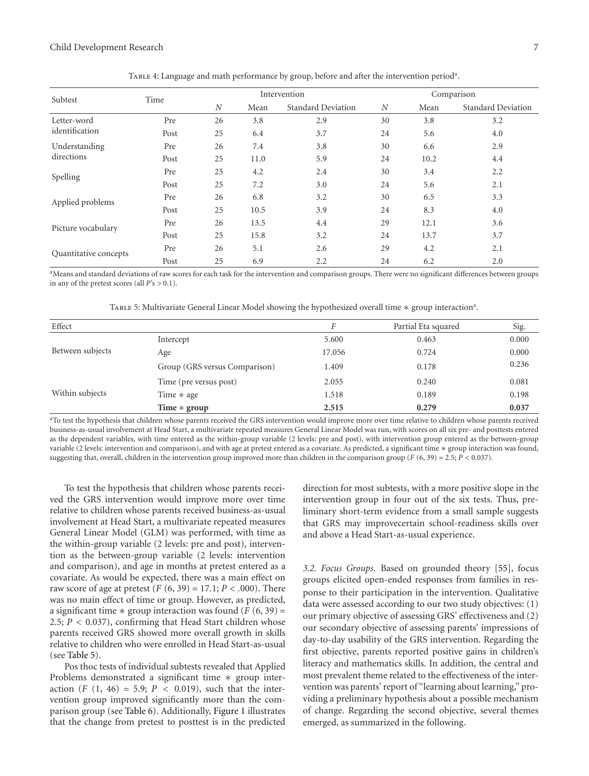#### Child Development Research 7

|                       |      | $\overline{ }$   |      |                           |    |      |                           |
|-----------------------|------|------------------|------|---------------------------|----|------|---------------------------|
| Subtest               | Time | Intervention     |      | Comparison                |    |      |                           |
|                       |      | $\boldsymbol{N}$ | Mean | <b>Standard Deviation</b> | N  | Mean | <b>Standard Deviation</b> |
| Letter-word           | Pre  | 26               | 3.8  | 2.9                       | 30 | 3.8  | 3.2                       |
| identification        | Post | 25               | 6.4  | 3.7                       | 24 | 5.6  | 4.0                       |
| Understanding         | Pre  | 26               | 7.4  | 3.8                       | 30 | 6.6  | 2.9                       |
| directions            | Post | 25               | 11.0 | 5.9                       | 24 | 10.2 | 4.4                       |
| Spelling              | Pre  | 25               | 4.2  | 2.4                       | 30 | 3.4  | 2.2                       |
|                       | Post | 25               | 7.2  | 3.0                       | 24 | 5.6  | 2.1                       |
| Applied problems      | Pre  | 26               | 6.8  | 3.2                       | 30 | 6.5  | 3.3                       |
|                       | Post | 25               | 10.5 | 3.9                       | 24 | 8.3  | 4.0                       |
| Picture vocabulary    | Pre  | 26               | 13.5 | 4.4                       | 29 | 12.1 | 3.6                       |
|                       | Post | 25               | 15.8 | 3.2                       | 24 | 13.7 | 3.7                       |
| Quantitative concepts | Pre  | 26               | 5.1  | 2.6                       | 29 | 4.2  | 2.1                       |
|                       | Post | 25               | 6.9  | 2.2                       | 24 | 6.2  | 2.0                       |

Table 4: Language and math performance by group, before and after the intervention period<sup>a</sup>.

<sup>a</sup>Means and standard deviations of raw scores for each task for the intervention and comparison groups. There were no significant differences between groups in any of the pretest scores (all *P*'s *>* 0.1).

TABLE 5: Multivariate General Linear Model showing the hypothesized overall time ∗ group interaction<sup>a</sup>.

| Effect           |                               | F     | Partial Eta squared                                                                              | Sig.  |
|------------------|-------------------------------|-------|--------------------------------------------------------------------------------------------------|-------|
|                  | Intercept                     | 5.600 | 0.463<br>17.056<br>0.724<br>0.178<br>1.409<br>2.055<br>0.240<br>1.518<br>0.189<br>0.279<br>2.515 | 0.000 |
| Between subjects | Age                           |       |                                                                                                  | 0.000 |
|                  | Group (GRS versus Comparison) |       |                                                                                                  | 0.236 |
|                  | Time (pre versus post)        |       |                                                                                                  | 0.081 |
| Within subjects  | Time $*$ age                  |       |                                                                                                  | 0.198 |
|                  | Time $*$ group                |       |                                                                                                  | 0.037 |

<sup>a</sup>To test the hypothesis that children whose parents received the GRS intervention would improve more over time relative to children whose parents received business-as-usual involvement at Head Start, a multivariate repeated measures General Linear Model was run, with scores on all six pre- and posttests entered as the dependent variables, with time entered as the within-group variable (2 levels: pre and post), with intervention group entered as the between-group variable (2 levels: intervention and comparison), and with age at pretest entered as a covariate. As predicted, a significant time ∗ group interaction was found, suggesting that, overall, children in the intervention group improved more than children in the comparison group (*F* (6, 39) = 2.5; *P <* 0*.*037).

To test the hypothesis that children whose parents received the GRS intervention would improve more over time relative to children whose parents received business-as-usual involvement at Head Start, a multivariate repeated measures General Linear Model (GLM) was performed, with time as the within-group variable (2 levels: pre and post), intervention as the between-group variable (2 levels: intervention and comparison), and age in months at pretest entered as a covariate. As would be expected, there was a main effect on raw score of age at pretest  $(F (6, 39) = 17.1; P < .000)$ . There was no main effect of time or group. However, as predicted, a significant time  $*$  group interaction was found ( $F(6, 39) =$ 2.5; *P <* 0*.*037), confirming that Head Start children whose parents received GRS showed more overall growth in skills relative to children who were enrolled in Head Start-as-usual (see Table 5).

Pos thoc tests of individual subtests revealed that Applied Problems demonstrated a significant time ∗ group interaction (*F* (1, 46) = 5.9; *P* < 0.019), such that the intervention group improved significantly more than the comparison group (see Table 6). Additionally, Figure 1 illustrates that the change from pretest to posttest is in the predicted

direction for most subtests, with a more positive slope in the intervention group in four out of the six tests. Thus, preliminary short-term evidence from a small sample suggests that GRS may improvecertain school-readiness skills over and above a Head Start-as-usual experience.

*3.2. Focus Groups.* Based on grounded theory [55], focus groups elicited open-ended responses from families in response to their participation in the intervention. Qualitative data were assessed according to our two study objectives: (1) our primary objective of assessing GRS' effectiveness and (2) our secondary objective of assessing parents' impressions of day-to-day usability of the GRS intervention. Regarding the first objective, parents reported positive gains in children's literacy and mathematics skills. In addition, the central and most prevalent theme related to the effectiveness of the intervention was parents' report of "learning about learning," providing a preliminary hypothesis about a possible mechanism of change. Regarding the second objective, several themes emerged, as summarized in the following.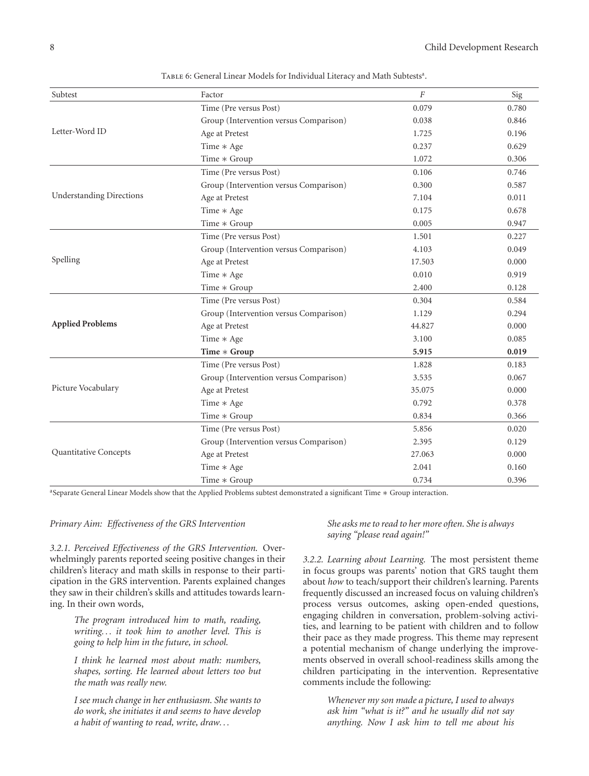| Subtest                         | Factor                                 | $\boldsymbol{F}$ | Sig   |
|---------------------------------|----------------------------------------|------------------|-------|
|                                 | Time (Pre versus Post)                 | 0.079            | 0.780 |
|                                 | Group (Intervention versus Comparison) | 0.038            | 0.846 |
| Letter-Word ID                  | Age at Pretest                         | 1.725            | 0.196 |
|                                 | Time * Age                             | 0.237            | 0.629 |
|                                 | Time * Group                           | 1.072            | 0.306 |
|                                 | Time (Pre versus Post)                 | 0.106            | 0.746 |
|                                 | Group (Intervention versus Comparison) | 0.300            | 0.587 |
| <b>Understanding Directions</b> | Age at Pretest                         | 7.104            | 0.011 |
|                                 | Time * Age                             | 0.175            | 0.678 |
|                                 | Time * Group                           | 0.005            | 0.947 |
|                                 | Time (Pre versus Post)                 | 1.501            | 0.227 |
|                                 | Group (Intervention versus Comparison) | 4.103            | 0.049 |
| Spelling                        | Age at Pretest                         | 17.503           | 0.000 |
|                                 | Time * Age                             | 0.010            | 0.919 |
|                                 | Time * Group                           | 2.400            | 0.128 |
|                                 | Time (Pre versus Post)                 | 0.304            | 0.584 |
|                                 | Group (Intervention versus Comparison) | 1.129            | 0.294 |
| <b>Applied Problems</b>         | Age at Pretest                         | 44.827           | 0.000 |
|                                 | Time * Age                             | 3.100            | 0.085 |
|                                 | Time * Group                           | 5.915            | 0.019 |
|                                 | Time (Pre versus Post)                 | 1.828            | 0.183 |
|                                 | Group (Intervention versus Comparison) | 3.535            | 0.067 |
| Picture Vocabulary              | Age at Pretest                         | 35.075           | 0.000 |
|                                 | Time * Age                             | 0.792            | 0.378 |
|                                 | Time * Group                           | 0.834            | 0.366 |
|                                 | Time (Pre versus Post)                 | 5.856            | 0.020 |
|                                 | Group (Intervention versus Comparison) | 2.395            | 0.129 |
| Quantitative Concepts           | Age at Pretest                         | 27.063           | 0.000 |
|                                 | Time * Age                             | 2.041            | 0.160 |
|                                 | Time * Group                           | 0.734            | 0.396 |

TABLE 6: General Linear Models for Individual Literacy and Math Subtests<sup>a</sup>.

aSeparate General Linear Models show that the Applied Problems subtest demonstrated a significant Time <sup>∗</sup> Group interaction.

#### *Primary Aim: Effectiveness of the GRS Intervention*

*3.2.1. Perceived Effectiveness of the GRS Intervention.* Overwhelmingly parents reported seeing positive changes in their children's literacy and math skills in response to their participation in the GRS intervention. Parents explained changes they saw in their children's skills and attitudes towards learning. In their own words,

*The program introduced him to math, reading, writing... it took him to another level. This is going to help him in the future, in school.*

*I think he learned most about math: numbers, shapes, sorting. He learned about letters too but the math was really new.*

*I see much change in her enthusiasm. She wants to do work, she initiates it and seems to have develop a habit of wanting to read, write, draw...*

#### *She asks me to read to her more often. She is always saying "please read again!"*

*3.2.2. Learning about Learning.* The most persistent theme in focus groups was parents' notion that GRS taught them about *how* to teach/support their children's learning. Parents frequently discussed an increased focus on valuing children's process versus outcomes, asking open-ended questions, engaging children in conversation, problem-solving activities, and learning to be patient with children and to follow their pace as they made progress. This theme may represent a potential mechanism of change underlying the improvements observed in overall school-readiness skills among the children participating in the intervention. Representative comments include the following:

> *Whenever my son made a picture, I used to always ask him "what is it?" and he usually did not say anything. Now I ask him to tell me about his*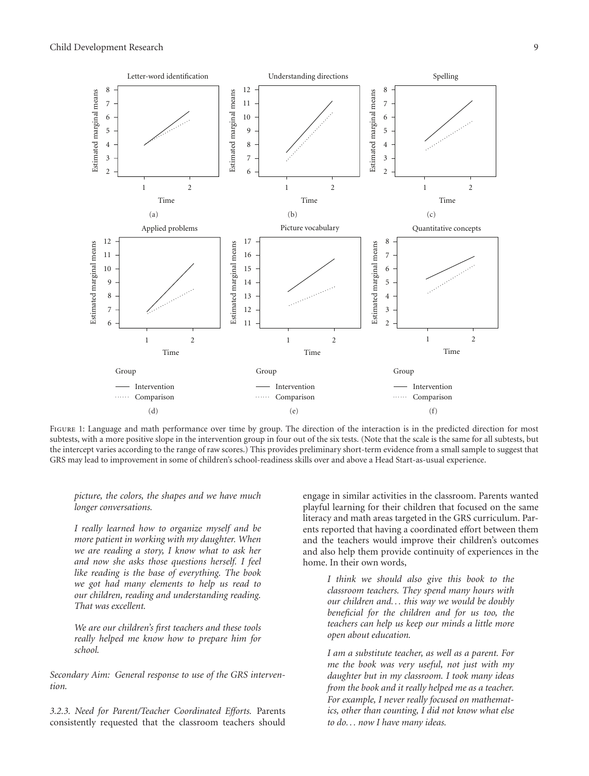

FIGURE 1: Language and math performance over time by group. The direction of the interaction is in the predicted direction for most subtests, with a more positive slope in the intervention group in four out of the six tests. (Note that the scale is the same for all subtests, but the intercept varies according to the range of raw scores.) This provides preliminary short-term evidence from a small sample to suggest that GRS may lead to improvement in some of children's school-readiness skills over and above a Head Start-as-usual experience.

#### *picture, the colors, the shapes and we have much longer conversations.*

*I really learned how to organize myself and be more patient in working with my daughter. When we are reading a story, I know what to ask her and now she asks those questions herself. I feel like reading is the base of everything. The book we got had many elements to help us read to our children, reading and understanding reading. That was excellent.*

*We are our children's first teachers and these tools really helped me know how to prepare him for school.*

*Secondary Aim: General response to use of the GRS intervention.*

*3.2.3. Need for Parent/Teacher Coordinated Efforts.* Parents consistently requested that the classroom teachers should engage in similar activities in the classroom. Parents wanted playful learning for their children that focused on the same literacy and math areas targeted in the GRS curriculum. Parents reported that having a coordinated effort between them and the teachers would improve their children's outcomes and also help them provide continuity of experiences in the home. In their own words,

> *I think we should also give this book to the classroom teachers. They spend many hours with our children and... this way we would be doubly beneficial for the children and for us too, the teachers can help us keep our minds a little more open about education.*

> *I am a substitute teacher, as well as a parent. For me the book was very useful, not just with my daughter but in my classroom. I took many ideas from the book and it really helped me as a teacher. For example, I never really focused on mathematics, other than counting, I did not know what else to do... now I have many ideas.*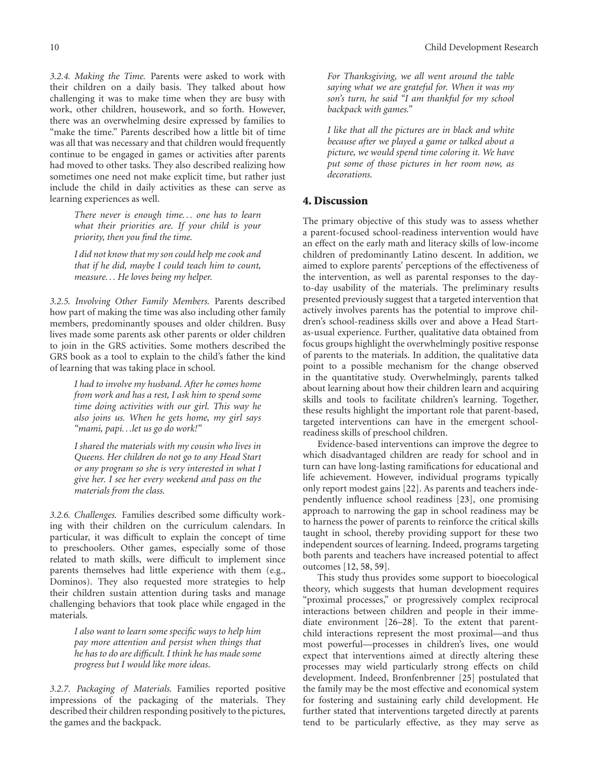*3.2.4. Making the Time.* Parents were asked to work with their children on a daily basis. They talked about how challenging it was to make time when they are busy with work, other children, housework, and so forth. However, there was an overwhelming desire expressed by families to "make the time." Parents described how a little bit of time was all that was necessary and that children would frequently continue to be engaged in games or activities after parents had moved to other tasks. They also described realizing how sometimes one need not make explicit time, but rather just include the child in daily activities as these can serve as learning experiences as well.

*There never is enough time... one has to learn what their priorities are. If your child is your priority, then you find the time.*

*I did not know that my son could help me cook and that if he did, maybe I could teach him to count, measure... He loves being my helper.*

*3.2.5. Involving Other Family Members.* Parents described how part of making the time was also including other family members, predominantly spouses and older children. Busy lives made some parents ask other parents or older children to join in the GRS activities. Some mothers described the GRS book as a tool to explain to the child's father the kind of learning that was taking place in school.

*I had to involve my husband. After he comes home from work and has a rest, I ask him to spend some time doing activities with our girl. This way he also joins us. When he gets home, my girl says "mami, papi...let us go do work!"*

*I shared the materials with my cousin who lives in Queens. Her children do not go to any Head Start or any program so she is very interested in what I give her. I see her every weekend and pass on the materials from the class.*

*3.2.6. Challenges.* Families described some difficulty working with their children on the curriculum calendars. In particular, it was difficult to explain the concept of time to preschoolers. Other games, especially some of those related to math skills, were difficult to implement since parents themselves had little experience with them (e.g., Dominos). They also requested more strategies to help their children sustain attention during tasks and manage challenging behaviors that took place while engaged in the materials.

*I also want to learn some specific ways to help him pay more attention and persist when things that he has to do are difficult. I think he has made some progress but I would like more ideas*.

*3.2.7. Packaging of Materials.* Families reported positive impressions of the packaging of the materials. They described their children responding positively to the pictures, the games and the backpack.

*For Thanksgiving, we all went around the table saying what we are grateful for. When it was my son's turn, he said "I am thankful for my school backpack with games."*

*I like that all the pictures are in black and white because after we played a game or talked about a picture, we would spend time coloring it. We have put some of those pictures in her room now, as decorations.*

#### **4. Discussion**

The primary objective of this study was to assess whether a parent-focused school-readiness intervention would have an effect on the early math and literacy skills of low-income children of predominantly Latino descent. In addition, we aimed to explore parents' perceptions of the effectiveness of the intervention, as well as parental responses to the dayto-day usability of the materials. The preliminary results presented previously suggest that a targeted intervention that actively involves parents has the potential to improve children's school-readiness skills over and above a Head Startas-usual experience. Further, qualitative data obtained from focus groups highlight the overwhelmingly positive response of parents to the materials. In addition, the qualitative data point to a possible mechanism for the change observed in the quantitative study. Overwhelmingly, parents talked about learning about how their children learn and acquiring skills and tools to facilitate children's learning. Together, these results highlight the important role that parent-based, targeted interventions can have in the emergent schoolreadiness skills of preschool children.

Evidence-based interventions can improve the degree to which disadvantaged children are ready for school and in turn can have long-lasting ramifications for educational and life achievement. However, individual programs typically only report modest gains [22]. As parents and teachers independently influence school readiness [23], one promising approach to narrowing the gap in school readiness may be to harness the power of parents to reinforce the critical skills taught in school, thereby providing support for these two independent sources of learning. Indeed, programs targeting both parents and teachers have increased potential to affect outcomes [12, 58, 59].

This study thus provides some support to bioecological theory, which suggests that human development requires "proximal processes," or progressively complex reciprocal interactions between children and people in their immediate environment [26–28]. To the extent that parentchild interactions represent the most proximal—and thus most powerful—processes in children's lives, one would expect that interventions aimed at directly altering these processes may wield particularly strong effects on child development. Indeed, Bronfenbrenner [25] postulated that the family may be the most effective and economical system for fostering and sustaining early child development. He further stated that interventions targeted directly at parents tend to be particularly effective, as they may serve as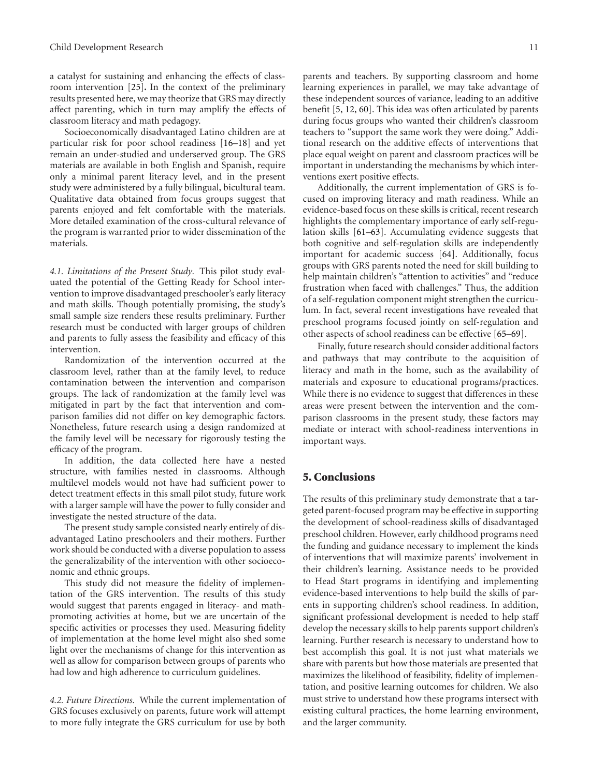a catalyst for sustaining and enhancing the effects of classroom intervention [25]**.** In the context of the preliminary results presented here, we may theorize that GRS may directly affect parenting, which in turn may amplify the effects of classroom literacy and math pedagogy.

Socioeconomically disadvantaged Latino children are at particular risk for poor school readiness [16–18] and yet remain an under-studied and underserved group. The GRS materials are available in both English and Spanish, require only a minimal parent literacy level, and in the present study were administered by a fully bilingual, bicultural team. Qualitative data obtained from focus groups suggest that parents enjoyed and felt comfortable with the materials. More detailed examination of the cross-cultural relevance of the program is warranted prior to wider dissemination of the materials.

*4.1. Limitations of the Present Study.* This pilot study evaluated the potential of the Getting Ready for School intervention to improve disadvantaged preschooler's early literacy and math skills. Though potentially promising, the study's small sample size renders these results preliminary. Further research must be conducted with larger groups of children and parents to fully assess the feasibility and efficacy of this intervention.

Randomization of the intervention occurred at the classroom level, rather than at the family level, to reduce contamination between the intervention and comparison groups. The lack of randomization at the family level was mitigated in part by the fact that intervention and comparison families did not differ on key demographic factors. Nonetheless, future research using a design randomized at the family level will be necessary for rigorously testing the efficacy of the program.

In addition, the data collected here have a nested structure, with families nested in classrooms. Although multilevel models would not have had sufficient power to detect treatment effects in this small pilot study, future work with a larger sample will have the power to fully consider and investigate the nested structure of the data.

The present study sample consisted nearly entirely of disadvantaged Latino preschoolers and their mothers. Further work should be conducted with a diverse population to assess the generalizability of the intervention with other socioeconomic and ethnic groups.

This study did not measure the fidelity of implementation of the GRS intervention. The results of this study would suggest that parents engaged in literacy- and mathpromoting activities at home, but we are uncertain of the specific activities or processes they used. Measuring fidelity of implementation at the home level might also shed some light over the mechanisms of change for this intervention as well as allow for comparison between groups of parents who had low and high adherence to curriculum guidelines.

*4.2. Future Directions.* While the current implementation of GRS focuses exclusively on parents, future work will attempt to more fully integrate the GRS curriculum for use by both

parents and teachers. By supporting classroom and home learning experiences in parallel, we may take advantage of these independent sources of variance, leading to an additive benefit [5, 12, 60]. This idea was often articulated by parents during focus groups who wanted their children's classroom teachers to "support the same work they were doing." Additional research on the additive effects of interventions that place equal weight on parent and classroom practices will be important in understanding the mechanisms by which interventions exert positive effects.

Additionally, the current implementation of GRS is focused on improving literacy and math readiness. While an evidence-based focus on these skills is critical, recent research highlights the complementary importance of early self-regulation skills [61–63]. Accumulating evidence suggests that both cognitive and self-regulation skills are independently important for academic success [64]. Additionally, focus groups with GRS parents noted the need for skill building to help maintain children's "attention to activities" and "reduce frustration when faced with challenges." Thus, the addition of a self-regulation component might strengthen the curriculum. In fact, several recent investigations have revealed that preschool programs focused jointly on self-regulation and other aspects of school readiness can be effective [65–69].

Finally, future research should consider additional factors and pathways that may contribute to the acquisition of literacy and math in the home, such as the availability of materials and exposure to educational programs/practices. While there is no evidence to suggest that differences in these areas were present between the intervention and the comparison classrooms in the present study, these factors may mediate or interact with school-readiness interventions in important ways.

## **5. Conclusions**

The results of this preliminary study demonstrate that a targeted parent-focused program may be effective in supporting the development of school-readiness skills of disadvantaged preschool children. However, early childhood programs need the funding and guidance necessary to implement the kinds of interventions that will maximize parents' involvement in their children's learning. Assistance needs to be provided to Head Start programs in identifying and implementing evidence-based interventions to help build the skills of parents in supporting children's school readiness. In addition, significant professional development is needed to help staff develop the necessary skills to help parents support children's learning. Further research is necessary to understand how to best accomplish this goal. It is not just what materials we share with parents but how those materials are presented that maximizes the likelihood of feasibility, fidelity of implementation, and positive learning outcomes for children. We also must strive to understand how these programs intersect with existing cultural practices, the home learning environment, and the larger community.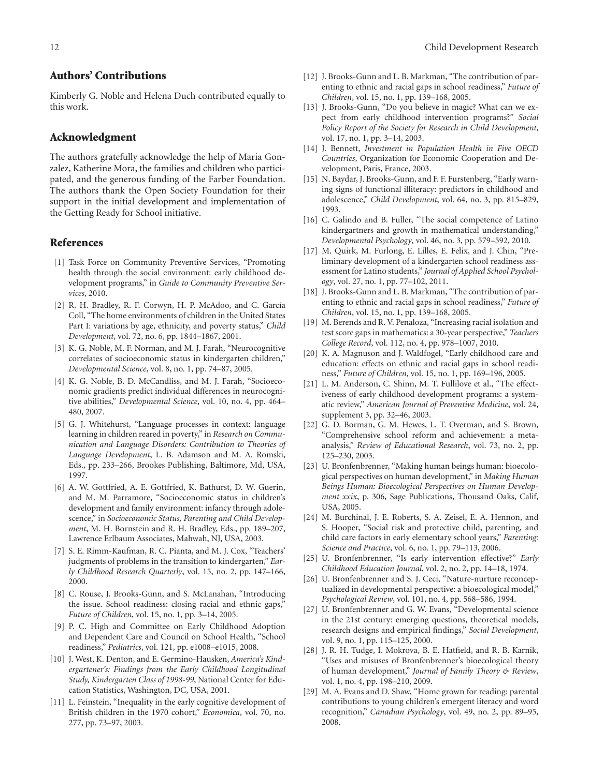### **Authors' Contributions**

Kimberly G. Noble and Helena Duch contributed equally to this work.

#### **Acknowledgment**

The authors gratefully acknowledge the help of Maria Gonzalez, Katherine Mora, the families and children who participated, and the generous funding of the Farber Foundation. The authors thank the Open Society Foundation for their support in the initial development and implementation of the Getting Ready for School initiative.

#### **References**

- [1] Task Force on Community Preventive Services, "Promoting health through the social environment: early childhood development programs," in *Guide to Community Preventive Services*, 2010.
- [2] R. H. Bradley, R. F. Corwyn, H. P. McAdoo, and C. García Coll, "The home environments of children in the United States Part I: variations by age, ethnicity, and poverty status," *Child Development*, vol. 72, no. 6, pp. 1844–1867, 2001.
- [3] K. G. Noble, M. F. Norman, and M. J. Farah, "Neurocognitive correlates of socioeconomic status in kindergarten children," *Developmental Science*, vol. 8, no. 1, pp. 74–87, 2005.
- [4] K. G. Noble, B. D. McCandliss, and M. J. Farah, "Socioeconomic gradients predict individual differences in neurocognitive abilities," *Developmental Science*, vol. 10, no. 4, pp. 464– 480, 2007.
- [5] G. J. Whitehurst, "Language processes in context: language learning in children reared in poverty," in *Research on Communication and Language Disorders: Contribution to Theories of Language Development*, L. B. Adamson and M. A. Romski, Eds., pp. 233–266, Brookes Publishing, Baltimore, Md, USA, 1997.
- [6] A. W. Gottfried, A. E. Gottfried, K. Bathurst, D. W. Guerin, and M. M. Parramore, "Socioeconomic status in children's development and family environment: infancy through adolescence," in *Socioeconomic Status, Parenting and Child Development*, M. H. Bornstein and R. H. Bradley, Eds., pp. 189–207, Lawrence Erlbaum Associates, Mahwah, NJ, USA, 2003.
- [7] S. E. Rimm-Kaufman, R. C. Pianta, and M. J. Cox, "Teachers' judgments of problems in the transition to kindergarten," *Early Childhood Research Quarterly*, vol. 15, no. 2, pp. 147–166, 2000.
- [8] C. Rouse, J. Brooks-Gunn, and S. McLanahan, "Introducing the issue. School readiness: closing racial and ethnic gaps, *Future of Children*, vol. 15, no. 1, pp. 3–14, 2005.
- [9] P. C. High and Committee on Early Childhood Adoption and Dependent Care and Council on School Health, "School readiness," *Pediatrics*, vol. 121, pp. e1008–e1015, 2008.
- [10] J. West, K. Denton, and E. Germino-Hausken, *America's Kindergartener's: Findings from the Early Childhood Longitudinal Study, Kindergarten Class of 1998-99*, National Center for Education Statistics, Washington, DC, USA, 2001.
- [11] L. Feinstein, "Inequality in the early cognitive development of British children in the 1970 cohort," *Economica*, vol. 70, no. 277, pp. 73–97, 2003.
- [12] J. Brooks-Gunn and L. B. Markman, "The contribution of parenting to ethnic and racial gaps in school readiness," *Future of Children*, vol. 15, no. 1, pp. 139–168, 2005.
- [13] J. Brooks-Gunn, "Do you believe in magic? What can we expect from early childhood intervention programs?" *Social Policy Report of the Society for Research in Child Development*, vol. 17, no. 1, pp. 3–14, 2003.
- [14] J. Bennett, *Investment in Population Health in Five OECD Countries*, Organization for Economic Cooperation and Development, Paris, France, 2003.
- [15] N. Baydar, J. Brooks-Gunn, and F. F. Furstenberg, "Early warning signs of functional illiteracy: predictors in childhood and adolescence," *Child Development*, vol. 64, no. 3, pp. 815–829, 1993.
- [16] C. Galindo and B. Fuller, "The social competence of Latino kindergartners and growth in mathematical understanding," *Developmental Psychology*, vol. 46, no. 3, pp. 579–592, 2010.
- [17] M. Quirk, M. Furlong, E. Lilles, E. Felix, and J. Chin, "Preliminary development of a kindergarten school readiness assessment for Latino students," *Journal of Applied School Psychology*, vol. 27, no. 1, pp. 77–102, 2011.
- [18] J. Brooks-Gunn and L. B. Markman, "The contribution of parenting to ethnic and racial gaps in school readiness," *Future of Children*, vol. 15, no. 1, pp. 139–168, 2005.
- [19] M. Berends and R. V. Penaloza, "Increasing racial isolation and test score gaps in mathematics: a 30-year perspective," *Teachers College Record*, vol. 112, no. 4, pp. 978–1007, 2010.
- [20] K. A. Magnuson and J. Waldfogel, "Early childhood care and education: effects on ethnic and racial gaps in school readiness," *Future of Children*, vol. 15, no. 1, pp. 169–196, 2005.
- [21] L. M. Anderson, C. Shinn, M. T. Fullilove et al., "The effectiveness of early childhood development programs: a systematic review," *American Journal of Preventive Medicine*, vol. 24, supplement 3, pp. 32–46, 2003.
- [22] G. D. Borman, G. M. Hewes, L. T. Overman, and S. Brown, "Comprehensive school reform and achievement: a metaanalysis," *Review of Educational Research*, vol. 73, no. 2, pp. 125–230, 2003.
- [23] U. Bronfenbrenner, "Making human beings human: bioecological perspectives on human development," in *Making Human Beings Human: Bioecological Perspectives on Human Development xxix*, p. 306, Sage Publications, Thousand Oaks, Calif, USA, 2005.
- [24] M. Burchinal, J. E. Roberts, S. A. Zeisel, E. A. Hennon, and S. Hooper, "Social risk and protective child, parenting, and child care factors in early elementary school years," *Parenting: Science and Practice*, vol. 6, no. 1, pp. 79–113, 2006.
- [25] U. Bronfenbrenner, "Is early intervention effective?" *Early Childhood Education Journal*, vol. 2, no. 2, pp. 14–18, 1974.
- [26] U. Bronfenbrenner and S. J. Ceci, "Nature-nurture reconceptualized in developmental perspective: a bioecological model," *Psychological Review*, vol. 101, no. 4, pp. 568–586, 1994.
- [27] U. Bronfenbrenner and G. W. Evans, "Developmental science in the 21st century: emerging questions, theoretical models, research designs and empirical findings," *Social Development*, vol. 9, no. 1, pp. 115–125, 2000.
- [28] J. R. H. Tudge, I. Mokrova, B. E. Hatfield, and R. B. Karnik, "Uses and misuses of Bronfenbrenner's bioecological theory of human development," *Journal of Family Theory & Review*, vol. 1, no. 4, pp. 198–210, 2009.
- [29] M. A. Evans and D. Shaw, "Home grown for reading: parental contributions to young children's emergent literacy and word recognition," *Canadian Psychology*, vol. 49, no. 2, pp. 89–95, 2008.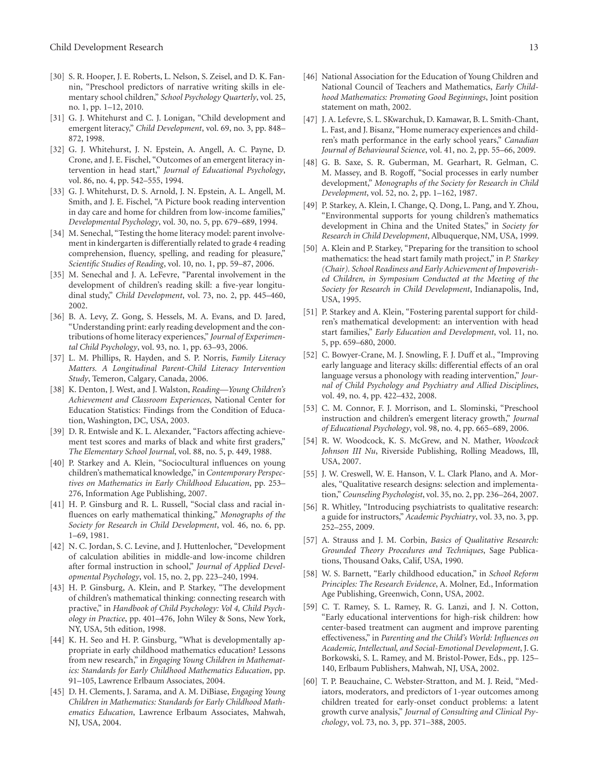- [30] S. R. Hooper, J. E. Roberts, L. Nelson, S. Zeisel, and D. K. Fannin, "Preschool predictors of narrative writing skills in elementary school children," *School Psychology Quarterly*, vol. 25, no. 1, pp. 1–12, 2010.
- [31] G. J. Whitehurst and C. J. Lonigan, "Child development and emergent literacy," *Child Development*, vol. 69, no. 3, pp. 848– 872, 1998.
- [32] G. J. Whitehurst, J. N. Epstein, A. Angell, A. C. Payne, D. Crone, and J. E. Fischel, "Outcomes of an emergent literacy intervention in head start," *Journal of Educational Psychology*, vol. 86, no. 4, pp. 542–555, 1994.
- [33] G. J. Whitehurst, D. S. Arnold, J. N. Epstein, A. L. Angell, M. Smith, and J. E. Fischel, "A Picture book reading intervention in day care and home for children from low-income families," *Developmental Psychology*, vol. 30, no. 5, pp. 679–689, 1994.
- [34] M. Senechal, "Testing the home literacy model: parent involvement in kindergarten is differentially related to grade 4 reading comprehension, fluency, spelling, and reading for pleasure," *Scientific Studies of Reading*, vol. 10, no. 1, pp. 59–87, 2006.
- [35] M. Senechal and J. A. LeFevre, "Parental involvement in the development of children's reading skill: a five-year longitudinal study," *Child Development*, vol. 73, no. 2, pp. 445–460, 2002.
- [36] B. A. Levy, Z. Gong, S. Hessels, M. A. Evans, and D. Jared, "Understanding print: early reading development and the contributions of home literacy experiences," *Journal of Experimental Child Psychology*, vol. 93, no. 1, pp. 63–93, 2006.
- [37] L. M. Phillips, R. Hayden, and S. P. Norris, *Family Literacy Matters. A Longitudinal Parent-Child Literacy Intervention Study*, Temeron, Calgary, Canada, 2006.
- [38] K. Denton, J. West, and J. Walston, *Reading—Young Children's Achievement and Classroom Experiences*, National Center for Education Statistics: Findings from the Condition of Education, Washington, DC, USA, 2003.
- [39] D. R. Entwisle and K. L. Alexander, "Factors affecting achievement test scores and marks of black and white first graders," *The Elementary School Journal*, vol. 88, no. 5, p. 449, 1988.
- [40] P. Starkey and A. Klein, "Sociocultural influences on young children's mathematical knowledge," in *Contemporary Perspectives on Mathematics in Early Childhood Education*, pp. 253– 276, Information Age Publishing, 2007.
- [41] H. P. Ginsburg and R. L. Russell, "Social class and racial influences on early mathematical thinking," *Monographs of the Society for Research in Child Development*, vol. 46, no. 6, pp. 1–69, 1981.
- [42] N. C. Jordan, S. C. Levine, and J. Huttenlocher, "Development of calculation abilities in middle-and low-income children after formal instruction in school," *Journal of Applied Developmental Psychology*, vol. 15, no. 2, pp. 223–240, 1994.
- [43] H. P. Ginsburg, A. Klein, and P. Starkey, "The development of children's mathematical thinking: connecting research with practive," in *Handbook of Child Psychology: Vol 4, Child Psychology in Practice*, pp. 401–476, John Wiley & Sons, New York, NY, USA, 5th edition, 1998.
- [44] K. H. Seo and H. P. Ginsburg, "What is developmentally appropriate in early childhood mathematics education? Lessons from new research," in *Engaging Young Children in Mathematics: Standards for Early Childhood Mathematics Education*, pp. 91–105, Lawrence Erlbaum Associates, 2004.
- [45] D. H. Clements, J. Sarama, and A. M. DiBiase, *Engaging Young Children in Mathematics: Standards for Early Childhood Mathematics Education*, Lawrence Erlbaum Associates, Mahwah, NJ, USA, 2004.
- [46] National Association for the Education of Young Children and National Council of Teachers and Mathematics, *Early Childhood Mathematics: Promoting Good Beginnings*, Joint position
- [47] J. A. Lefevre, S. L. SKwarchuk, D. Kamawar, B. L. Smith-Chant, L. Fast, and J. Bisanz, "Home numeracy experiences and children's math performance in the early school years," *Canadian Journal of Behavioural Science*, vol. 41, no. 2, pp. 55–66, 2009.

statement on math, 2002.

- [48] G. B. Saxe, S. R. Guberman, M. Gearhart, R. Gelman, C. M. Massey, and B. Rogoff, "Social processes in early number development," *Monographs of the Society for Research in Child Development*, vol. 52, no. 2, pp. 1–162, 1987.
- [49] P. Starkey, A. Klein, I. Change, Q. Dong, L. Pang, and Y. Zhou, "Environmental supports for young children's mathematics development in China and the United States," in *Society for Research in Child Development*, Albuquerque, NM, USA, 1999.
- [50] A. Klein and P. Starkey, "Preparing for the transition to school mathematics: the head start family math project," in *P. Starkey (Chair). School Readiness and Early Achievement of Impoverished Children, in Symposium Conducted at the Meeting of the Society for Research in Child Development*, Indianapolis, Ind, USA, 1995.
- [51] P. Starkey and A. Klein, "Fostering parental support for children's mathematical development: an intervention with head start families," *Early Education and Development*, vol. 11, no. 5, pp. 659–680, 2000.
- [52] C. Bowyer-Crane, M. J. Snowling, F. J. Duff et al., "Improving early language and literacy skills: differential effects of an oral language versus a phonology with reading intervention," *Journal of Child Psychology and Psychiatry and Allied Disciplines*, vol. 49, no. 4, pp. 422–432, 2008.
- [53] C. M. Connor, F. J. Morrison, and L. Slominski, "Preschool instruction and children's emergent literacy growth," *Journal of Educational Psychology*, vol. 98, no. 4, pp. 665–689, 2006.
- [54] R. W. Woodcock, K. S. McGrew, and N. Mather, *Woodcock Johnson III Nu*, Riverside Publishing, Rolling Meadows, Ill, USA, 2007.
- [55] J. W. Creswell, W. E. Hanson, V. L. Clark Plano, and A. Morales, "Qualitative research designs: selection and implementation," *Counseling Psychologist*, vol. 35, no. 2, pp. 236–264, 2007.
- [56] R. Whitley, "Introducing psychiatrists to qualitative research: a guide for instructors," *Academic Psychiatry*, vol. 33, no. 3, pp. 252–255, 2009.
- [57] A. Strauss and J. M. Corbin, *Basics of Qualitative Research: Grounded Theory Procedures and Techniques*, Sage Publications, Thousand Oaks, Calif, USA, 1990.
- [58] W. S. Barnett, "Early childhood education," in *School Reform Principles: The Research Evidence*, A. Molner, Ed., Information Age Publishing, Greenwich, Conn, USA, 2002.
- [59] C. T. Ramey, S. L. Ramey, R. G. Lanzi, and J. N. Cotton, "Early educational interventions for high-risk children: how center-based treatment can augment and improve parenting effectiveness," in *Parenting and the Child's World: Influences on Academic, Intellectual, and Social-Emotional Development*, J. G. Borkowski, S. L. Ramey, and M. Bristol-Power, Eds., pp. 125– 140, Erlbaum Publishers, Mahwah, NJ, USA, 2002.
- [60] T. P. Beauchaine, C. Webster-Stratton, and M. J. Reid, "Mediators, moderators, and predictors of 1-year outcomes among children treated for early-onset conduct problems: a latent growth curve analysis," *Journal of Consulting and Clinical Psychology*, vol. 73, no. 3, pp. 371–388, 2005.